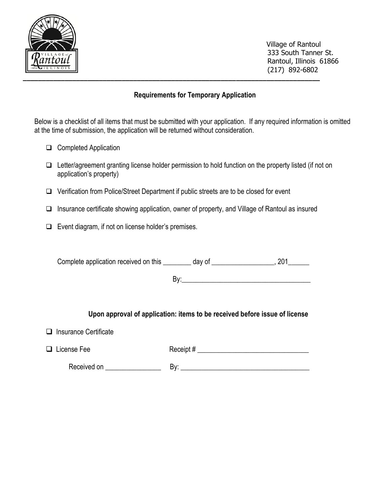

 Village of Rantoul 333 South Tanner St. Rantoul, Illinois 61866 (217) 892-6802

### **Requirements for Temporary Application**

Below is a checklist of all items that must be submitted with your application. If any required information is omitted at the time of submission, the application will be returned without consideration.

- ❑ Completed Application
- ❑ Letter/agreement granting license holder permission to hold function on the property listed (if not on application's property)
- ❑ Verification from Police/Street Department if public streets are to be closed for event
- ❑ Insurance certificate showing application, owner of property, and Village of Rantoul as insured
- ❑ Event diagram, if not on license holder's premises.

Complete application received on this \_\_\_\_\_\_\_ day of \_\_\_\_\_\_\_\_\_\_\_\_\_\_\_\_\_, 201\_\_\_\_\_\_

 $\mathsf{By:}\qquad$ 

### **Upon approval of application: items to be received before issue of license**

❑ Insurance Certificate

| $\Box$ License Fee | Receipt# |  |
|--------------------|----------|--|
|--------------------|----------|--|

Received on \_\_\_\_\_\_\_\_\_\_\_\_\_\_\_\_ By: \_\_\_\_\_\_\_\_\_\_\_\_\_\_\_\_\_\_\_\_\_\_\_\_\_\_\_\_\_\_\_\_\_\_\_\_\_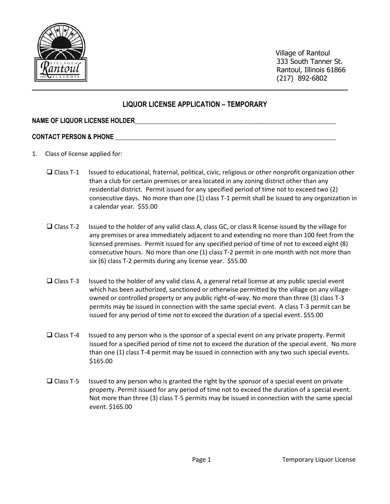

 Village of Rantoul 333 South Tanner St. Rantoul, Illinois 61866 (217) 892-6802

### **LIQUOR LICENSE APPLICATION – TEMPORARY**

#### **NAME OF LIQUOR LICENSE HOLDER\_\_\_\_\_\_\_\_\_\_\_\_\_\_\_\_\_\_\_\_\_\_\_\_\_\_\_\_\_\_\_\_\_\_\_\_\_\_\_\_\_\_\_\_\_\_\_\_\_\_\_\_\_\_\_\_\_\_\_\_\_\_\_**

#### **CONTACT PERSON & PHONE \_\_\_\_\_\_\_\_\_\_\_\_\_\_\_\_\_\_\_\_\_\_\_\_\_\_\_\_\_\_\_\_\_\_\_\_\_\_\_\_\_\_\_\_\_\_\_\_\_\_\_\_\_\_\_\_\_\_\_\_\_\_\_\_\_\_\_\_\_**

- 1. Class of license applied for:
	- ❑ Class T-1 Issued to educational, fraternal, political, civic, religious or other nonprofit organization other than a club for certain premises or area located in any zoning district other than any residential district. Permit issued for any specified period of time not to exceed two (2) consecutive days. No more than one (1) class T-1 permit shall be issued to any organization in a calendar year. \$55.00
	- ❑ Class T-2 Issued to the holder of any valid class A, class GC, or class R license issued by the village for any premises or area immediately adjacent to and extending no more than 100 feet from the licensed premises. Permit issued for any specified period of time of not to exceed eight (8) consecutive hours. No more than one (1) class T-2 permit in one month with not more than six (6) class T-2 permits during any license year. \$55.00
	- ❑ Class T-3 Issued to the holder of any valid class A, a general retail license at any public special event which has been authorized, sanctioned or otherwise permitted by the village on any villageowned or controlled property or any public right-of-way. No more than three (3) class T-3 permits may be issued in connection with the same special event. A class T-3 permit can be issued for any period of time not to exceed the duration of a special event. \$55.00
	- ❑ Class T-4 Issued to any person who is the sponsor of a special event on any private property. Permit issued for a specified period of time not to exceed the duration of the special event. No more than one (1) class T-4 permit may be issued in connection with any two such special events. \$165.00
	- $\Box$  Class T-5 Issued to any person who is granted the right by the sponsor of a special event on private property. Permit issued for any period of time not to exceed the duration of a special event. Not more than three (3) class T-5 permits may be issued in connection with the same special event. \$165.00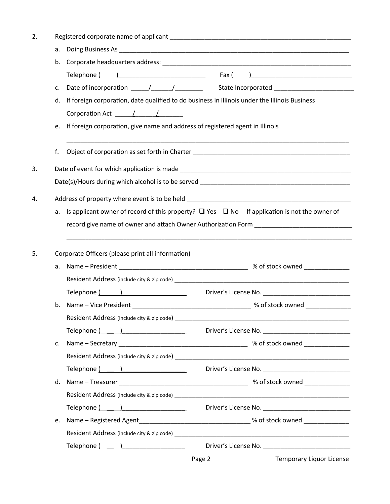| 2. |    |                                                                                                                                                                                                                                |        |                                                       |  |  |  |  |  |
|----|----|--------------------------------------------------------------------------------------------------------------------------------------------------------------------------------------------------------------------------------|--------|-------------------------------------------------------|--|--|--|--|--|
|    | a. |                                                                                                                                                                                                                                |        |                                                       |  |  |  |  |  |
|    |    |                                                                                                                                                                                                                                |        |                                                       |  |  |  |  |  |
|    |    | Telephone $\begin{pmatrix} 1 & 1 \end{pmatrix}$                                                                                                                                                                                |        |                                                       |  |  |  |  |  |
|    | c. |                                                                                                                                                                                                                                |        |                                                       |  |  |  |  |  |
|    | d. | If foreign corporation, date qualified to do business in Illinois under the Illinois Business                                                                                                                                  |        |                                                       |  |  |  |  |  |
|    |    | Corporation Act (a)                                                                                                                                                                                                            |        |                                                       |  |  |  |  |  |
|    | e. | If foreign corporation, give name and address of registered agent in Illinois                                                                                                                                                  |        |                                                       |  |  |  |  |  |
|    | f. |                                                                                                                                                                                                                                |        |                                                       |  |  |  |  |  |
| 3. |    |                                                                                                                                                                                                                                |        |                                                       |  |  |  |  |  |
|    |    |                                                                                                                                                                                                                                |        |                                                       |  |  |  |  |  |
| 4. |    |                                                                                                                                                                                                                                |        |                                                       |  |  |  |  |  |
|    |    | a. Is applicant owner of record of this property? $\Box$ Yes $\Box$ No If application is not the owner of                                                                                                                      |        |                                                       |  |  |  |  |  |
|    |    |                                                                                                                                                                                                                                |        |                                                       |  |  |  |  |  |
|    |    |                                                                                                                                                                                                                                |        |                                                       |  |  |  |  |  |
| 5. |    | Corporate Officers (please print all information)                                                                                                                                                                              |        |                                                       |  |  |  |  |  |
|    |    |                                                                                                                                                                                                                                |        |                                                       |  |  |  |  |  |
|    |    |                                                                                                                                                                                                                                |        |                                                       |  |  |  |  |  |
|    |    | Telephone ( )                                                                                                                                                                                                                  |        |                                                       |  |  |  |  |  |
|    | b. |                                                                                                                                                                                                                                |        |                                                       |  |  |  |  |  |
|    |    | Resident Address (include city & zip code) ___________                                                                                                                                                                         |        |                                                       |  |  |  |  |  |
|    |    |                                                                                                                                                                                                                                |        |                                                       |  |  |  |  |  |
|    | c. |                                                                                                                                                                                                                                |        |                                                       |  |  |  |  |  |
|    |    |                                                                                                                                                                                                                                |        |                                                       |  |  |  |  |  |
|    |    | Telephone ( Telephone )                                                                                                                                                                                                        |        |                                                       |  |  |  |  |  |
|    | d. |                                                                                                                                                                                                                                |        |                                                       |  |  |  |  |  |
|    |    |                                                                                                                                                                                                                                |        |                                                       |  |  |  |  |  |
|    |    |                                                                                                                                                                                                                                |        | Driver's License No. ________________________________ |  |  |  |  |  |
|    | e. |                                                                                                                                                                                                                                |        |                                                       |  |  |  |  |  |
|    |    |                                                                                                                                                                                                                                |        |                                                       |  |  |  |  |  |
|    |    | Telephone ( ) and ( ) and ( ) and ( ) and ( ) and ( ) and ( ) and ( ) and ( ) and ( ) is a set of ( ) is a set of ( ) is a set of ( ) is a set of ( ) is a set of ( ) is a set of ( ) is a set of ( ) is a set of ( ) is a set |        |                                                       |  |  |  |  |  |
|    |    |                                                                                                                                                                                                                                | Page 2 | Temporary Liquor License                              |  |  |  |  |  |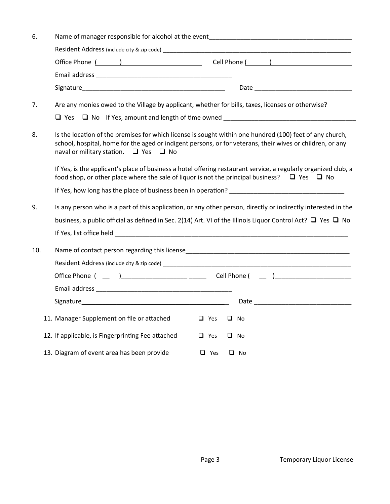| 6.<br>Name of manager responsible for alcohol at the event_____________________________ |                                                                                                                                                                                                                                                                          |  |  |  |  |
|-----------------------------------------------------------------------------------------|--------------------------------------------------------------------------------------------------------------------------------------------------------------------------------------------------------------------------------------------------------------------------|--|--|--|--|
|                                                                                         |                                                                                                                                                                                                                                                                          |  |  |  |  |
|                                                                                         |                                                                                                                                                                                                                                                                          |  |  |  |  |
|                                                                                         |                                                                                                                                                                                                                                                                          |  |  |  |  |
|                                                                                         |                                                                                                                                                                                                                                                                          |  |  |  |  |
| 7.                                                                                      | Are any monies owed to the Village by applicant, whether for bills, taxes, licenses or otherwise?<br>$\Box$ Yes $\Box$ No If Yes, amount and length of time owned                                                                                                        |  |  |  |  |
| 8.                                                                                      | Is the location of the premises for which license is sought within one hundred (100) feet of any church,<br>school, hospital, home for the aged or indigent persons, or for veterans, their wives or children, or any<br>naval or military station. $\Box$ Yes $\Box$ No |  |  |  |  |
|                                                                                         | If Yes, is the applicant's place of business a hotel offering restaurant service, a regularly organized club, a<br>food shop, or other place where the sale of liquor is not the principal business? $\Box$ Yes $\Box$ No                                                |  |  |  |  |
|                                                                                         |                                                                                                                                                                                                                                                                          |  |  |  |  |
| 9.                                                                                      | Is any person who is a part of this application, or any other person, directly or indirectly interested in the                                                                                                                                                           |  |  |  |  |
|                                                                                         | business, a public official as defined in Sec. 2(14) Art. VI of the Illinois Liquor Control Act? $\Box$ Yes $\Box$ No                                                                                                                                                    |  |  |  |  |
|                                                                                         |                                                                                                                                                                                                                                                                          |  |  |  |  |
| 10.                                                                                     |                                                                                                                                                                                                                                                                          |  |  |  |  |
|                                                                                         |                                                                                                                                                                                                                                                                          |  |  |  |  |
|                                                                                         |                                                                                                                                                                                                                                                                          |  |  |  |  |
|                                                                                         |                                                                                                                                                                                                                                                                          |  |  |  |  |
|                                                                                         |                                                                                                                                                                                                                                                                          |  |  |  |  |
|                                                                                         |                                                                                                                                                                                                                                                                          |  |  |  |  |
|                                                                                         | 11. Manager Supplement on file or attached<br>$\Box$ Yes<br>$\Box$ No                                                                                                                                                                                                    |  |  |  |  |
|                                                                                         | 12. If applicable, is Fingerprinting Fee attached<br>$\Box$ Yes<br>$\Box$ No                                                                                                                                                                                             |  |  |  |  |
|                                                                                         | 13. Diagram of event area has been provide<br>$\Box$ Yes<br>$\Box$ No                                                                                                                                                                                                    |  |  |  |  |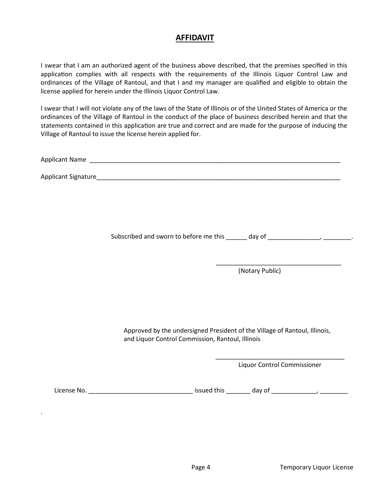## **AFFIDAVIT**

I swear that I am an authorized agent of the business above described, that the premises specified in this application complies with all respects with the requirements of the Illinois Liquor Control Law and ordinances of the Village of Rantoul, and that I and my manager are qualified and eligible to obtain the license applied for herein under the Illinois Liquor Control Law.

I swear that I will not violate any of the laws of the State of Illinois or of the United States of America or the ordinances of the Village of Rantoul in the conduct of the place of business described herein and that the statements contained in this application are true and correct and are made for the purpose of inducing the Village of Rantoul to issue the license herein applied for.

Applicant Name \_\_\_\_\_\_\_\_\_\_\_\_\_\_\_\_\_\_\_\_\_\_\_\_\_\_\_\_\_\_\_\_\_\_\_\_\_\_\_\_\_\_\_\_\_\_\_\_\_\_\_\_\_\_\_\_\_\_\_\_\_\_\_\_\_\_\_\_\_\_\_\_

 $\overline{\phantom{a}}$  , which is a set of the contract of the contract of the contract of the contract of the contract of the contract of the contract of the contract of the contract of the contract of the contract of the contract

Applicant Signature\_\_\_\_\_\_\_\_\_\_\_\_\_\_\_\_\_\_\_\_\_\_\_\_\_\_\_\_\_\_\_\_\_\_\_\_\_\_\_\_\_\_\_\_\_\_\_\_\_\_\_\_\_\_\_\_\_\_\_\_\_\_\_\_\_\_\_\_\_\_

Subscribed and sworn to before me this \_\_\_\_\_\_ day of \_\_\_\_\_\_\_\_\_\_\_\_\_\_, \_\_\_\_\_\_\_\_\_.

(Notary Public)

Approved by the undersigned President of the Village of Rantoul, Illinois, and Liquor Control Commission, Rantoul, Illinois

> \_\_\_\_\_\_\_\_\_\_\_\_\_\_\_\_\_\_\_\_\_\_\_\_\_\_\_\_\_\_\_\_\_\_\_\_\_ Liquor Control Commissioner

.

License No. \_\_\_\_\_\_\_\_\_\_\_\_\_\_\_\_\_\_\_\_\_\_\_\_\_\_\_\_\_\_ issued this \_\_\_\_\_\_\_ day of \_\_\_\_\_\_\_\_\_\_\_\_\_, \_\_\_\_\_\_\_\_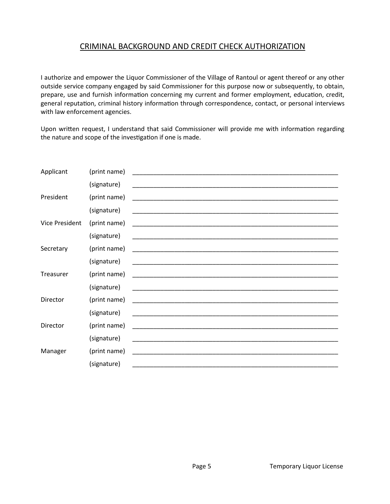# CRIMINAL BACKGROUND AND CREDIT CHECK AUTHORIZATION

I authorize and empower the Liquor Commissioner of the Village of Rantoul or agent thereof or any other outside service company engaged by said Commissioner for this purpose now or subsequently, to obtain, prepare, use and furnish information concerning my current and former employment, education, credit, general reputation, criminal history information through correspondence, contact, or personal interviews with law enforcement agencies.

Upon written request, I understand that said Commissioner will provide me with information regarding the nature and scope of the investigation if one is made.

| Applicant             | (print name)                                                              |                                                                                                                       |  |
|-----------------------|---------------------------------------------------------------------------|-----------------------------------------------------------------------------------------------------------------------|--|
|                       | (signature)                                                               | <u> 1990 - Johann John Harry Harry Harry Harry Harry Harry Harry Harry Harry Harry Harry Harry Harry Harry Harry</u>  |  |
| President             | (print name)                                                              |                                                                                                                       |  |
|                       | (signature)                                                               |                                                                                                                       |  |
| <b>Vice President</b> | (print name)                                                              |                                                                                                                       |  |
|                       | (signature)                                                               |                                                                                                                       |  |
| Secretary             | (print name)                                                              |                                                                                                                       |  |
|                       | (signature)                                                               |                                                                                                                       |  |
| Treasurer             | (print name)                                                              |                                                                                                                       |  |
|                       | (signature)                                                               | <u> 1989 - Johann Harry Harry Harry Harry Harry Harry Harry Harry Harry Harry Harry Harry Harry Harry Harry Harry</u> |  |
| Director              | (print name)                                                              |                                                                                                                       |  |
|                       |                                                                           |                                                                                                                       |  |
|                       |                                                                           |                                                                                                                       |  |
|                       |                                                                           |                                                                                                                       |  |
|                       |                                                                           |                                                                                                                       |  |
|                       |                                                                           |                                                                                                                       |  |
| Director<br>Manager   | (signature)<br>(print name)<br>(signature)<br>(print name)<br>(signature) |                                                                                                                       |  |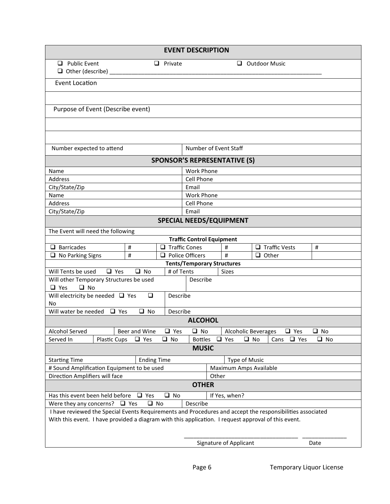|                                                                                                           |                                                             |                      | <b>EVENT DESCRIPTION</b>          |  |                                |                                          |              |
|-----------------------------------------------------------------------------------------------------------|-------------------------------------------------------------|----------------------|-----------------------------------|--|--------------------------------|------------------------------------------|--------------|
| $\Box$ Public Event                                                                                       |                                                             | $\Box$ Private       |                                   |  |                                | $\Box$ Outdoor Music                     |              |
| $\Box$ Other (describe) $\Box$                                                                            |                                                             |                      |                                   |  |                                |                                          |              |
| <b>Event Location</b>                                                                                     |                                                             |                      |                                   |  |                                |                                          |              |
|                                                                                                           |                                                             |                      |                                   |  |                                |                                          |              |
| Purpose of Event (Describe event)                                                                         |                                                             |                      |                                   |  |                                |                                          |              |
|                                                                                                           |                                                             |                      |                                   |  |                                |                                          |              |
|                                                                                                           |                                                             |                      |                                   |  |                                |                                          |              |
| Number expected to attend                                                                                 |                                                             |                      |                                   |  | Number of Event Staff          |                                          |              |
|                                                                                                           | <b>SPONSOR'S REPRESENTATIVE (S)</b>                         |                      |                                   |  |                                |                                          |              |
| Name                                                                                                      |                                                             |                      | <b>Work Phone</b>                 |  |                                |                                          |              |
| Address                                                                                                   |                                                             |                      | Cell Phone                        |  |                                |                                          |              |
| City/State/Zip                                                                                            |                                                             |                      | Email                             |  |                                |                                          |              |
| Name                                                                                                      |                                                             |                      | <b>Work Phone</b>                 |  |                                |                                          |              |
| Address                                                                                                   |                                                             |                      | Cell Phone                        |  |                                |                                          |              |
| City/State/Zip                                                                                            |                                                             |                      | Email                             |  |                                |                                          |              |
|                                                                                                           |                                                             |                      |                                   |  | <b>SPECIAL NEEDS/EQUIPMENT</b> |                                          |              |
| The Event will need the following                                                                         |                                                             |                      |                                   |  |                                |                                          |              |
|                                                                                                           |                                                             |                      | <b>Traffic Control Equipment</b>  |  |                                |                                          |              |
| $\Box$ Barricades                                                                                         | #                                                           | $\Box$ Traffic Cones |                                   |  | $\sharp$                       | $\Box$ Traffic Vests                     | $\#$         |
| $\Box$ No Parking Signs                                                                                   | $\sharp$                                                    |                      | $\Box$ Police Officers            |  | #                              | $\Box$ Other                             |              |
|                                                                                                           |                                                             |                      | <b>Tents/Temporary Structures</b> |  |                                |                                          |              |
| $\Box$ Yes<br>Will Tents be used                                                                          | $\Box$ No                                                   | # of Tents           |                                   |  | <b>Sizes</b>                   |                                          |              |
| Will other Temporary Structures be used                                                                   |                                                             |                      | Describe                          |  |                                |                                          |              |
|                                                                                                           | $\Box$ Yes<br>$\Box$ No                                     |                      |                                   |  |                                |                                          |              |
|                                                                                                           | Will electricity be needed $\Box$ Yes<br>$\Box$<br>Describe |                      |                                   |  |                                |                                          |              |
| No<br>Will water be needed $\Box$ Yes<br>$\Box$ No<br>Describe                                            |                                                             |                      |                                   |  |                                |                                          |              |
|                                                                                                           |                                                             |                      | <b>ALCOHOL</b>                    |  |                                |                                          |              |
| Alcohol Served                                                                                            | Beer and Wine                                               | $\Box$ Yes           | ⊔ No                              |  |                                | <b>Alcoholic Beverages</b><br>$\Box$ Yes | $\Box$ No    |
| Served In<br>Plastic Cups                                                                                 | $\Box$ Yes                                                  | $\Box$ No            | <b>Bottles</b>                    |  | $\Box$ Yes                     | $\Box$ No<br>$\Box$ Yes<br>Cans          | $\square$ No |
| <b>MUSIC</b>                                                                                              |                                                             |                      |                                   |  |                                |                                          |              |
| <b>Starting Time</b>                                                                                      | <b>Ending Time</b>                                          |                      |                                   |  | Type of Music                  |                                          |              |
| # Sound Amplification Equipment to be used                                                                |                                                             |                      | Maximum Amps Available            |  |                                |                                          |              |
| Direction Amplifiers will face                                                                            |                                                             |                      | Other                             |  |                                |                                          |              |
| <b>OTHER</b>                                                                                              |                                                             |                      |                                   |  |                                |                                          |              |
| Has this event been held before $\Box$ Yes<br>$\square$ No<br>If Yes, when?                               |                                                             |                      |                                   |  |                                |                                          |              |
| Describe<br>Were they any concerns? $\Box$ Yes<br>□ No                                                    |                                                             |                      |                                   |  |                                |                                          |              |
| I have reviewed the Special Events Requirements and Procedures and accept the responsibilities associated |                                                             |                      |                                   |  |                                |                                          |              |
| With this event. I have provided a diagram with this application. I request approval of this event.       |                                                             |                      |                                   |  |                                |                                          |              |
|                                                                                                           |                                                             |                      |                                   |  |                                |                                          |              |
|                                                                                                           |                                                             |                      |                                   |  | Signature of Applicant         |                                          | Date         |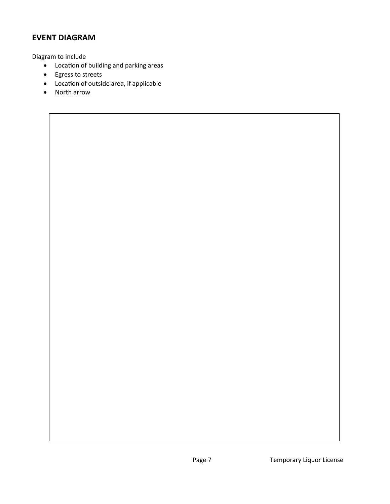# **EVENT DIAGRAM**

Diagram to include

- Location of building and parking areas
- Egress to streets
- Location of outside area, if applicable
- North arrow